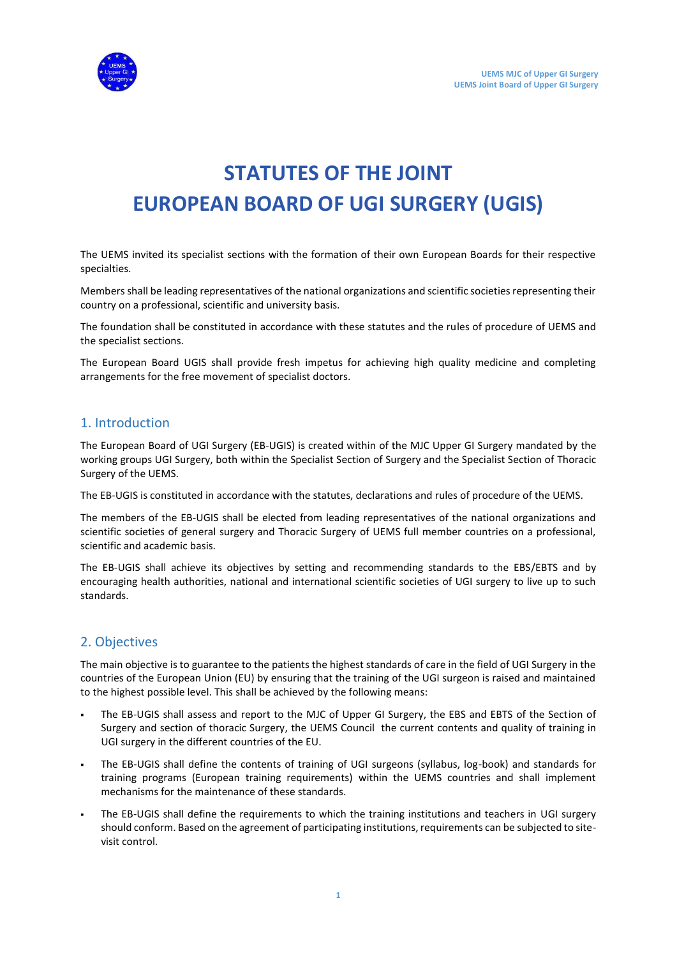

# **STATUTES OF THE JOINT EUROPEAN BOARD OF UGI SURGERY (UGIS)**

The UEMS invited its specialist sections with the formation of their own European Boards for their respective specialties.

Members shall be leading representatives of the national organizations and scientific societies representing their country on a professional, scientific and university basis.

The foundation shall be constituted in accordance with these statutes and the rules of procedure of UEMS and the specialist sections.

The European Board UGIS shall provide fresh impetus for achieving high quality medicine and completing arrangements for the free movement of specialist doctors.

## 1. Introduction

The European Board of UGI Surgery (EB-UGIS) is created within of the MJC Upper GI Surgery mandated by the working groups UGI Surgery, both within the Specialist Section of Surgery and the Specialist Section of Thoracic Surgery of the UEMS.

The EB-UGIS is constituted in accordance with the statutes, declarations and rules of procedure of the UEMS.

The members of the EB-UGIS shall be elected from leading representatives of the national organizations and scientific societies of general surgery and Thoracic Surgery of UEMS full member countries on a professional, scientific and academic basis.

The EB-UGIS shall achieve its objectives by setting and recommending standards to the EBS/EBTS and by encouraging health authorities, national and international scientific societies of UGI surgery to live up to such standards.

# 2. Objectives

The main objective is to guarantee to the patients the highest standards of care in the field of UGI Surgery in the countries of the European Union (EU) by ensuring that the training of the UGI surgeon is raised and maintained to the highest possible level. This shall be achieved by the following means:

- The EB-UGIS shall assess and report to the MJC of Upper GI Surgery, the EBS and EBTS of the Section of Surgery and section of thoracic Surgery, the UEMS Council the current contents and quality of training in UGI surgery in the different countries of the EU.
- The EB-UGIS shall define the contents of training of UGI surgeons (syllabus, log-book) and standards for training programs (European training requirements) within the UEMS countries and shall implement mechanisms for the maintenance of these standards.
- The EB-UGIS shall define the requirements to which the training institutions and teachers in UGI surgery should conform. Based on the agreement of participating institutions, requirements can be subjected to sitevisit control.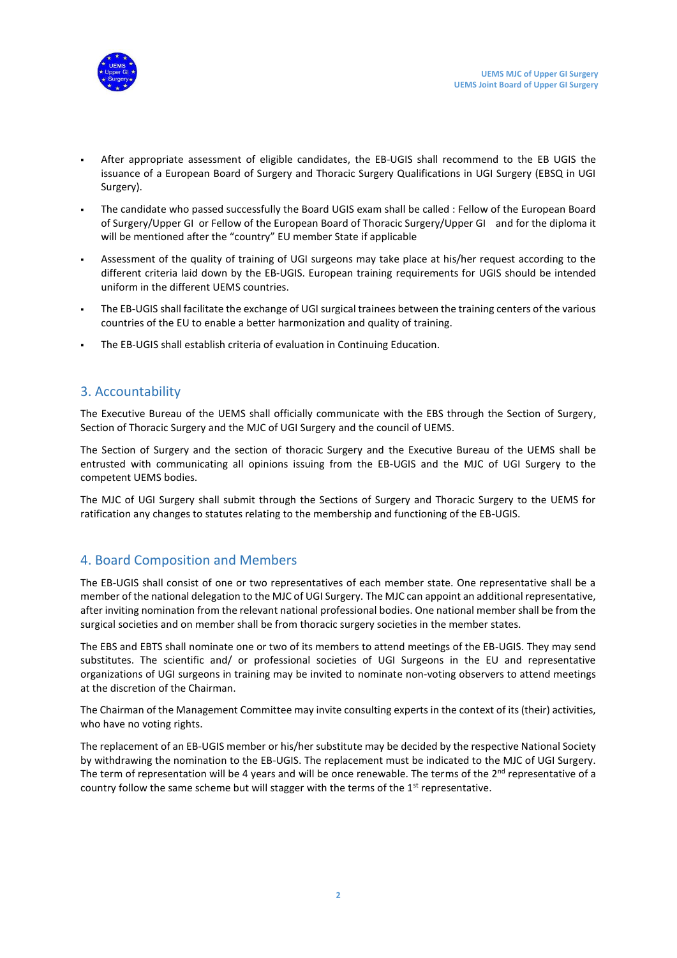

- After appropriate assessment of eligible candidates, the EB-UGIS shall recommend to the EB UGIS the issuance of a European Board of Surgery and Thoracic Surgery Qualifications in UGI Surgery (EBSQ in UGI Surgery).
- The candidate who passed successfully the Board UGIS exam shall be called : Fellow of the European Board of Surgery/Upper GI or Fellow of the European Board of Thoracic Surgery/Upper GI and for the diploma it will be mentioned after the "country" EU member State if applicable
- Assessment of the quality of training of UGI surgeons may take place at his/her request according to the different criteria laid down by the EB-UGIS. European training requirements for UGIS should be intended uniform in the different UEMS countries.
- The EB-UGIS shall facilitate the exchange of UGI surgical trainees between the training centers of the various countries of the EU to enable a better harmonization and quality of training.
- The EB-UGIS shall establish criteria of evaluation in Continuing Education.

## 3. Accountability

The Executive Bureau of the UEMS shall officially communicate with the EBS through the Section of Surgery, Section of Thoracic Surgery and the MJC of UGI Surgery and the council of UEMS.

The Section of Surgery and the section of thoracic Surgery and the Executive Bureau of the UEMS shall be entrusted with communicating all opinions issuing from the EB-UGIS and the MJC of UGI Surgery to the competent UEMS bodies.

The MJC of UGI Surgery shall submit through the Sections of Surgery and Thoracic Surgery to the UEMS for ratification any changes to statutes relating to the membership and functioning of the EB-UGIS.

# 4. Board Composition and Members

The EB-UGIS shall consist of one or two representatives of each member state. One representative shall be a member of the national delegation to the MJC of UGI Surgery. The MJC can appoint an additional representative, after inviting nomination from the relevant national professional bodies. One national member shall be from the surgical societies and on member shall be from thoracic surgery societies in the member states.

The EBS and EBTS shall nominate one or two of its members to attend meetings of the EB-UGIS. They may send substitutes. The scientific and/ or professional societies of UGI Surgeons in the EU and representative organizations of UGI surgeons in training may be invited to nominate non-voting observers to attend meetings at the discretion of the Chairman.

The Chairman of the Management Committee may invite consulting experts in the context of its (their) activities, who have no voting rights.

The replacement of an EB-UGIS member or his/her substitute may be decided by the respective National Society by withdrawing the nomination to the EB-UGIS. The replacement must be indicated to the MJC of UGI Surgery. The term of representation will be 4 years and will be once renewable. The terms of the  $2^{nd}$  representative of a country follow the same scheme but will stagger with the terms of the  $1<sup>st</sup>$  representative.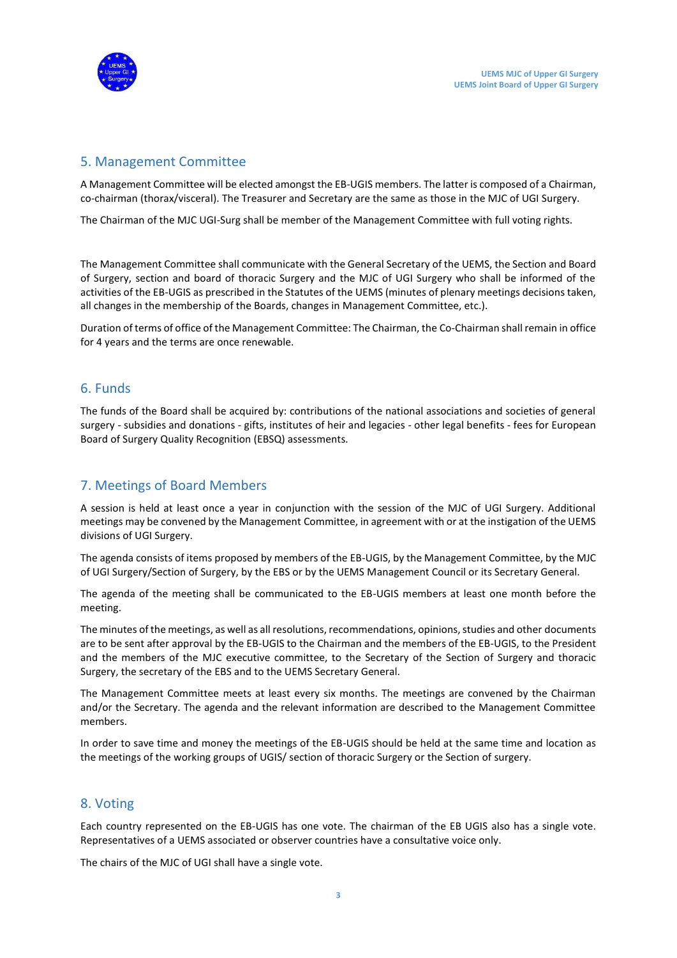

#### 5. Management Committee

A Management Committee will be elected amongst the EB-UGIS members. The latter is composed of a Chairman, co-chairman (thorax/visceral). The Treasurer and Secretary are the same as those in the MJC of UGI Surgery.

The Chairman of the MJC UGI-Surg shall be member of the Management Committee with full voting rights.

The Management Committee shall communicate with the General Secretary of the UEMS, the Section and Board of Surgery, section and board of thoracic Surgery and the MJC of UGI Surgery who shall be informed of the activities of the EB-UGIS as prescribed in the Statutes of the UEMS (minutes of plenary meetings decisions taken, all changes in the membership of the Boards, changes in Management Committee, etc.).

Duration of terms of office of the Management Committee: The Chairman, the Co-Chairman shall remain in office for 4 years and the terms are once renewable.

#### 6. Funds

The funds of the Board shall be acquired by: contributions of the national associations and societies of general surgery - subsidies and donations - gifts, institutes of heir and legacies - other legal benefits - fees for European Board of Surgery Quality Recognition (EBSQ) assessments*.* 

# 7. Meetings of Board Members

A session is held at least once a year in conjunction with the session of the MJC of UGI Surgery. Additional meetings may be convened by the Management Committee, in agreement with or at the instigation of the UEMS divisions of UGI Surgery.

The agenda consists of items proposed by members of the EB-UGIS, by the Management Committee, by the MJC of UGI Surgery/Section of Surgery, by the EBS or by the UEMS Management Council or its Secretary General.

The agenda of the meeting shall be communicated to the EB-UGIS members at least one month before the meeting.

The minutes of the meetings, as well as all resolutions, recommendations, opinions, studies and other documents are to be sent after approval by the EB-UGIS to the Chairman and the members of the EB-UGIS, to the President and the members of the MJC executive committee, to the Secretary of the Section of Surgery and thoracic Surgery, the secretary of the EBS and to the UEMS Secretary General.

The Management Committee meets at least every six months. The meetings are convened by the Chairman and/or the Secretary. The agenda and the relevant information are described to the Management Committee members.

In order to save time and money the meetings of the EB-UGIS should be held at the same time and location as the meetings of the working groups of UGIS/ section of thoracic Surgery or the Section of surgery.

## 8. Voting

Each country represented on the EB-UGIS has one vote. The chairman of the EB UGIS also has a single vote. Representatives of a UEMS associated or observer countries have a consultative voice only.

The chairs of the MJC of UGI shall have a single vote.